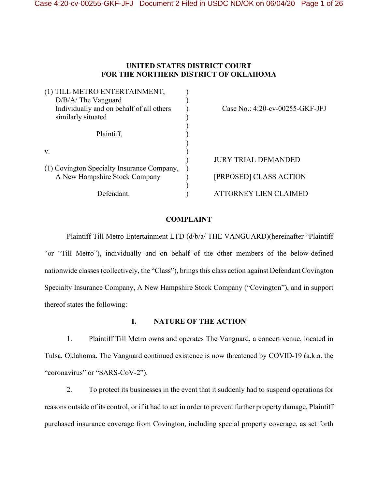# **UNITED STATES DISTRICT COURT FOR THE NORTHERN DISTRICT OF OKLAHOMA**

| (1) TILL METRO ENTERTAINMENT,<br>$D/B/A$ The Vanguard<br>Individually and on behalf of all others<br>similarly situated | Case No.: 4:20-cv-00255-GKF-JFJ |
|-------------------------------------------------------------------------------------------------------------------------|---------------------------------|
| Plaintiff,                                                                                                              |                                 |
| V.                                                                                                                      | <b>JURY TRIAL DEMANDED</b>      |
| (1) Covington Specialty Insurance Company,<br>A New Hampshire Stock Company                                             | [PRPOSED] CLASS ACTION          |
| Defendant.                                                                                                              | ATTORNEY LIEN CLAIMED           |

## **COMPLAINT**

Plaintiff Till Metro Entertainment LTD (d/b/a/ THE VANGUARD)(hereinafter "Plaintiff "or "Till Metro"), individually and on behalf of the other members of the below-defined nationwide classes (collectively, the "Class"), brings this class action against Defendant Covington Specialty Insurance Company, A New Hampshire Stock Company ("Covington"), and in support thereof states the following:

## **I. NATURE OF THE ACTION**

1. Plaintiff Till Metro owns and operates The Vanguard, a concert venue, located in Tulsa, Oklahoma. The Vanguard continued existence is now threatened by COVID-19 (a.k.a. the "coronavirus" or "SARS-CoV-2").

2. To protect its businesses in the event that it suddenly had to suspend operations for reasons outside of its control, or if it had to act in order to prevent further property damage, Plaintiff purchased insurance coverage from Covington, including special property coverage, as set forth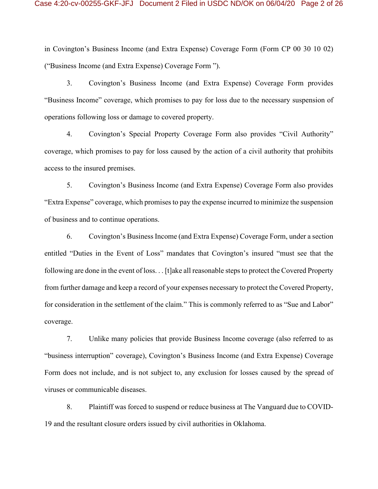in Covington's Business Income (and Extra Expense) Coverage Form (Form CP 00 30 10 02) ("Business Income (and Extra Expense) Coverage Form ").

3. Covington's Business Income (and Extra Expense) Coverage Form provides "Business Income" coverage, which promises to pay for loss due to the necessary suspension of operations following loss or damage to covered property.

4. Covington's Special Property Coverage Form also provides "Civil Authority" coverage, which promises to pay for loss caused by the action of a civil authority that prohibits access to the insured premises.

5. Covington's Business Income (and Extra Expense) Coverage Form also provides "Extra Expense" coverage, which promises to pay the expense incurred to minimize the suspension of business and to continue operations.

6. Covington's Business Income (and Extra Expense) Coverage Form, under a section entitled "Duties in the Event of Loss" mandates that Covington's insured "must see that the following are done in the event of loss. . . [t]ake all reasonable steps to protect the Covered Property from further damage and keep a record of your expenses necessary to protect the Covered Property, for consideration in the settlement of the claim." This is commonly referred to as "Sue and Labor" coverage.

7. Unlike many policies that provide Business Income coverage (also referred to as "business interruption" coverage), Covington's Business Income (and Extra Expense) Coverage Form does not include, and is not subject to, any exclusion for losses caused by the spread of viruses or communicable diseases.

8. Plaintiff was forced to suspend or reduce business at The Vanguard due to COVID-19 and the resultant closure orders issued by civil authorities in Oklahoma.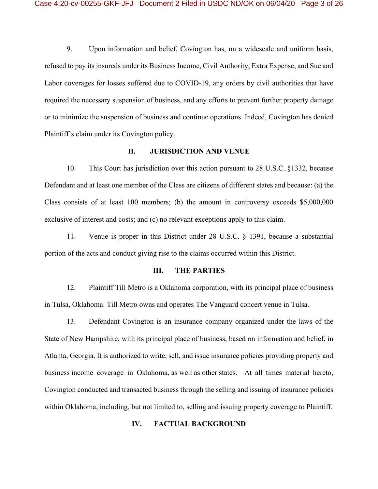9. Upon information and belief, Covington has, on a widescale and uniform basis, refused to pay its insureds under its Business Income, Civil Authority, Extra Expense, and Sue and Labor coverages for losses suffered due to COVID-19, any orders by civil authorities that have required the necessary suspension of business, and any efforts to prevent further property damage or to minimize the suspension of business and continue operations. Indeed, Covington has denied Plaintiff's claim under its Covington policy.

### **II. JURISDICTION AND VENUE**

10. This Court has jurisdiction over this action pursuant to 28 U.S.C. §1332, because Defendant and at least one member of the Class are citizens of different states and because: (a) the Class consists of at least 100 members; (b) the amount in controversy exceeds \$5,000,000 exclusive of interest and costs; and (c) no relevant exceptions apply to this claim.

11. Venue is proper in this District under 28 U.S.C. § 1391, because a substantial portion of the acts and conduct giving rise to the claims occurred within this District.

### **III. THE PARTIES**

12. Plaintiff Till Metro is a Oklahoma corporation, with its principal place of business in Tulsa, Oklahoma. Till Metro owns and operates The Vanguard concert venue in Tulsa.

13. Defendant Covington is an insurance company organized under the laws of the State of New Hampshire, with its principal place of business, based on information and belief, in Atlanta, Georgia. It is authorized to write, sell, and issue insurance policies providing property and business income coverage in Oklahoma, as well as other states. At all times material hereto, Covington conducted and transacted business through the selling and issuing of insurance policies within Oklahoma, including, but not limited to, selling and issuing property coverage to Plaintiff.

## **IV. FACTUAL BACKGROUND**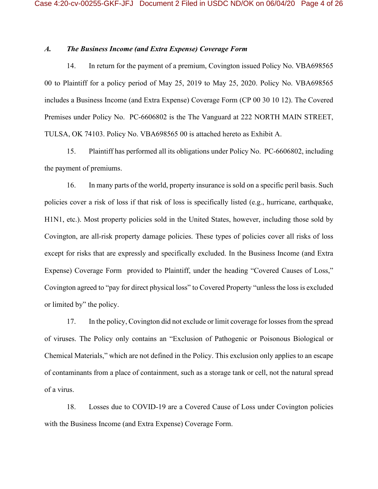## *A. The Business Income (and Extra Expense) Coverage Form*

14. In return for the payment of a premium, Covington issued Policy No. VBA698565 00 to Plaintiff for a policy period of May 25, 2019 to May 25, 2020. Policy No. VBA698565 includes a Business Income (and Extra Expense) Coverage Form (CP 00 30 10 12). The Covered Premises under Policy No. PC-6606802 is the The Vanguard at 222 NORTH MAIN STREET, TULSA, OK 74103. Policy No. VBA698565 00 is attached hereto as Exhibit A.

15. Plaintiff has performed all its obligations under Policy No. PC-6606802, including the payment of premiums.

16. In many parts of the world, property insurance is sold on a specific peril basis. Such policies cover a risk of loss if that risk of loss is specifically listed (e.g., hurricane, earthquake, H1N1, etc.). Most property policies sold in the United States, however, including those sold by Covington, are all-risk property damage policies. These types of policies cover all risks of loss except for risks that are expressly and specifically excluded. In the Business Income (and Extra Expense) Coverage Form provided to Plaintiff, under the heading "Covered Causes of Loss," Covington agreed to "pay for direct physical loss" to Covered Property "unless the loss is excluded or limited by" the policy.

17. In the policy, Covington did not exclude or limit coverage for losses from the spread of viruses. The Policy only contains an "Exclusion of Pathogenic or Poisonous Biological or Chemical Materials," which are not defined in the Policy. This exclusion only applies to an escape of contaminants from a place of containment, such as a storage tank or cell, not the natural spread of a virus.

18. Losses due to COVID-19 are a Covered Cause of Loss under Covington policies with the Business Income (and Extra Expense) Coverage Form.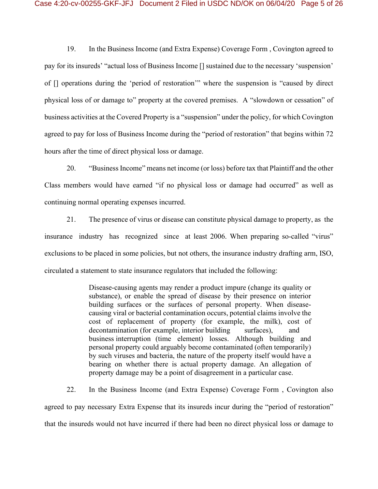19. In the Business Income (and Extra Expense) Coverage Form , Covington agreed to pay for its insureds' "actual loss of Business Income [] sustained due to the necessary 'suspension' of [] operations during the 'period of restoration'" where the suspension is "caused by direct physical loss of or damage to" property at the covered premises. A "slowdown or cessation" of business activities at the Covered Property is a "suspension" under the policy, for which Covington agreed to pay for loss of Business Income during the "period of restoration" that begins within 72 hours after the time of direct physical loss or damage.

20. "Business Income" means net income (or loss) before tax that Plaintiff and the other Class members would have earned "if no physical loss or damage had occurred" as well as continuing normal operating expenses incurred.

21. The presence of virus or disease can constitute physical damage to property, as the insurance industry has recognized since at least 2006. When preparing so-called "virus" exclusions to be placed in some policies, but not others, the insurance industry drafting arm, ISO, circulated a statement to state insurance regulators that included the following:

> Disease-causing agents may render a product impure (change its quality or substance), or enable the spread of disease by their presence on interior building surfaces or the surfaces of personal property. When diseasecausing viral or bacterial contamination occurs, potential claims involve the cost of replacement of property (for example, the milk), cost of decontamination (for example, interior building surfaces), and business interruption (time element) losses. Although building and personal property could arguably become contaminated (often temporarily) by such viruses and bacteria, the nature of the property itself would have a bearing on whether there is actual property damage. An allegation of property damage may be a point of disagreement in a particular case.

22. In the Business Income (and Extra Expense) Coverage Form , Covington also agreed to pay necessary Extra Expense that its insureds incur during the "period of restoration" that the insureds would not have incurred if there had been no direct physical loss or damage to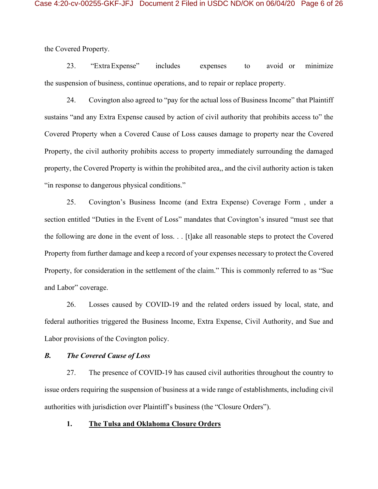the Covered Property.

23. "ExtraExpense" includes expenses to avoid or minimize the suspension of business, continue operations, and to repair or replace property.

24. Covington also agreed to "pay for the actual loss of Business Income" that Plaintiff sustains "and any Extra Expense caused by action of civil authority that prohibits access to" the Covered Property when a Covered Cause of Loss causes damage to property near the Covered Property, the civil authority prohibits access to property immediately surrounding the damaged property, the Covered Property is within the prohibited area,, and the civil authority action is taken "in response to dangerous physical conditions."

25. Covington's Business Income (and Extra Expense) Coverage Form , under a section entitled "Duties in the Event of Loss" mandates that Covington's insured "must see that the following are done in the event of loss. . . [t]ake all reasonable steps to protect the Covered Property from further damage and keep a record of your expenses necessary to protect the Covered Property, for consideration in the settlement of the claim." This is commonly referred to as "Sue and Labor" coverage.

26. Losses caused by COVID-19 and the related orders issued by local, state, and federal authorities triggered the Business Income, Extra Expense, Civil Authority, and Sue and Labor provisions of the Covington policy.

## *B. The Covered Cause of Loss*

27. The presence of COVID-19 has caused civil authorities throughout the country to issue orders requiring the suspension of business at a wide range of establishments, including civil authorities with jurisdiction over Plaintiff's business (the "Closure Orders").

### **1. The Tulsa and Oklahoma Closure Orders**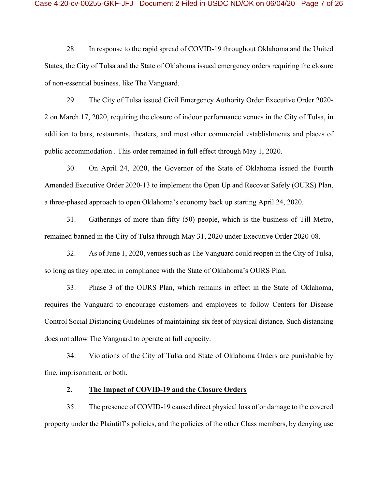28. In response to the rapid spread of COVID-19 throughout Oklahoma and the United States, the City of Tulsa and the State of Oklahoma issued emergency orders requiring the closure of non-essential business, like The Vanguard.

29. The City of Tulsa issued Civil Emergency Authority Order Executive Order 2020- 2 on March 17, 2020, requiring the closure of indoor performance venues in the City of Tulsa, in addition to bars, restaurants, theaters, and most other commercial establishments and places of public accommodation . This order remained in full effect through May 1, 2020.

30. On April 24, 2020, the Governor of the State of Oklahoma issued the Fourth Amended Executive Order 2020-13 to implement the Open Up and Recover Safely (OURS) Plan, a three-phased approach to open Oklahoma's economy back up starting April 24, 2020.

31. Gatherings of more than fifty (50) people, which is the business of Till Metro, remained banned in the City of Tulsa through May 31, 2020 under Executive Order 2020-08.

32. As of June 1, 2020, venues such as The Vanguard could reopen in the City of Tulsa, so long as they operated in compliance with the State of Oklahoma's OURS Plan.

33. Phase 3 of the OURS Plan, which remains in effect in the State of Oklahoma, requires the Vanguard to encourage customers and employees to follow Centers for Disease Control Social Distancing Guidelines of maintaining six feet of physical distance. Such distancing does not allow The Vanguard to operate at full capacity.

34. Violations of the City of Tulsa and State of Oklahoma Orders are punishable by fine, imprisonment, or both.

### **2. The Impact of COVID-19 and the Closure Orders**

35. The presence of COVID-19 caused direct physical loss of or damage to the covered property under the Plaintiff's policies, and the policies of the other Class members, by denying use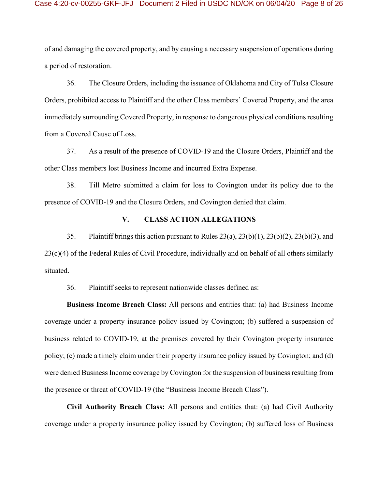of and damaging the covered property, and by causing a necessary suspension of operations during a period of restoration.

36. The Closure Orders, including the issuance of Oklahoma and City of Tulsa Closure Orders, prohibited access to Plaintiff and the other Class members' Covered Property, and the area immediately surrounding Covered Property, in response to dangerous physical conditions resulting from a Covered Cause of Loss.

37. As a result of the presence of COVID-19 and the Closure Orders, Plaintiff and the other Class members lost Business Income and incurred Extra Expense.

38. Till Metro submitted a claim for loss to Covington under its policy due to the presence of COVID-19 and the Closure Orders, and Covington denied that claim.

# **V. CLASS ACTION ALLEGATIONS**

35. Plaintiff brings this action pursuant to Rules  $23(a)$ ,  $23(b)(1)$ ,  $23(b)(2)$ ,  $23(b)(3)$ , and 23(c)(4) of the Federal Rules of Civil Procedure, individually and on behalf of all others similarly situated.

36. Plaintiff seeks to represent nationwide classes defined as:

**Business Income Breach Class:** All persons and entities that: (a) had Business Income coverage under a property insurance policy issued by Covington; (b) suffered a suspension of business related to COVID-19, at the premises covered by their Covington property insurance policy; (c) made a timely claim under their property insurance policy issued by Covington; and (d) were denied Business Income coverage by Covington for the suspension of business resulting from the presence or threat of COVID-19 (the "Business Income Breach Class").

**Civil Authority Breach Class:** All persons and entities that: (a) had Civil Authority coverage under a property insurance policy issued by Covington; (b) suffered loss of Business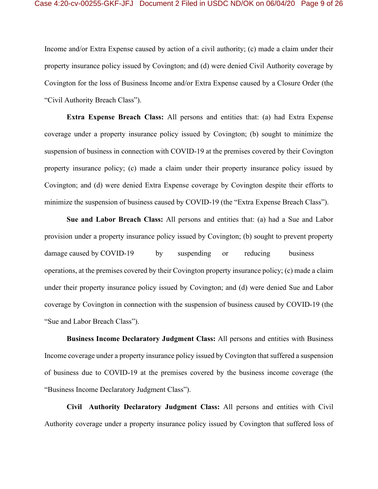Income and/or Extra Expense caused by action of a civil authority; (c) made a claim under their property insurance policy issued by Covington; and (d) were denied Civil Authority coverage by Covington for the loss of Business Income and/or Extra Expense caused by a Closure Order (the "Civil Authority Breach Class").

**Extra Expense Breach Class:** All persons and entities that: (a) had Extra Expense coverage under a property insurance policy issued by Covington; (b) sought to minimize the suspension of business in connection with COVID-19 at the premises covered by their Covington property insurance policy; (c) made a claim under their property insurance policy issued by Covington; and (d) were denied Extra Expense coverage by Covington despite their efforts to minimize the suspension of business caused by COVID-19 (the "Extra Expense Breach Class").

**Sue and Labor Breach Class:** All persons and entities that: (a) had a Sue and Labor provision under a property insurance policy issued by Covington; (b) sought to prevent property damage caused by COVID-19 by suspending or reducing business operations, at the premises covered by their Covington property insurance policy; (c) made a claim under their property insurance policy issued by Covington; and (d) were denied Sue and Labor coverage by Covington in connection with the suspension of business caused by COVID-19 (the "Sue and Labor Breach Class").

**Business Income Declaratory Judgment Class:** All persons and entities with Business Income coverage under a property insurance policy issued by Covington that suffered a suspension of business due to COVID-19 at the premises covered by the business income coverage (the "Business Income Declaratory Judgment Class").

**Civil Authority Declaratory Judgment Class:** All persons and entities with Civil Authority coverage under a property insurance policy issued by Covington that suffered loss of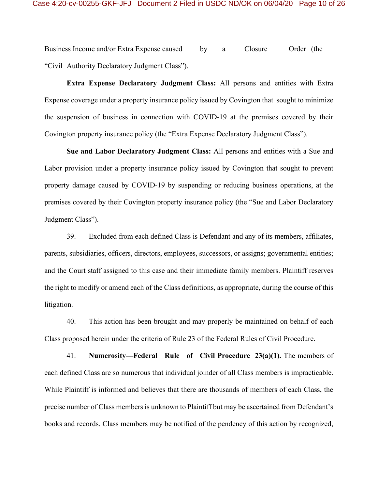Business Income and/or Extra Expense caused by a Closure Order (the "Civil Authority Declaratory Judgment Class").

**Extra Expense Declaratory Judgment Class:** All persons and entities with Extra Expense coverage under a property insurance policy issued by Covington that sought to minimize the suspension of business in connection with COVID-19 at the premises covered by their Covington property insurance policy (the "Extra Expense Declaratory Judgment Class").

**Sue and Labor Declaratory Judgment Class:** All persons and entities with a Sue and Labor provision under a property insurance policy issued by Covington that sought to prevent property damage caused by COVID-19 by suspending or reducing business operations, at the premises covered by their Covington property insurance policy (the "Sue and Labor Declaratory Judgment Class").

39. Excluded from each defined Class is Defendant and any of its members, affiliates, parents, subsidiaries, officers, directors, employees, successors, or assigns; governmental entities; and the Court staff assigned to this case and their immediate family members. Plaintiff reserves the right to modify or amend each of the Class definitions, as appropriate, during the course of this litigation.

40. This action has been brought and may properly be maintained on behalf of each Class proposed herein under the criteria of Rule 23 of the Federal Rules of Civil Procedure.

41. **Numerosity—Federal Rule of Civil Procedure 23(a)(1).** The members of each defined Class are so numerous that individual joinder of all Class members is impracticable. While Plaintiff is informed and believes that there are thousands of members of each Class, the precise number of Class members is unknown to Plaintiff but may be ascertained from Defendant's books and records. Class members may be notified of the pendency of this action by recognized,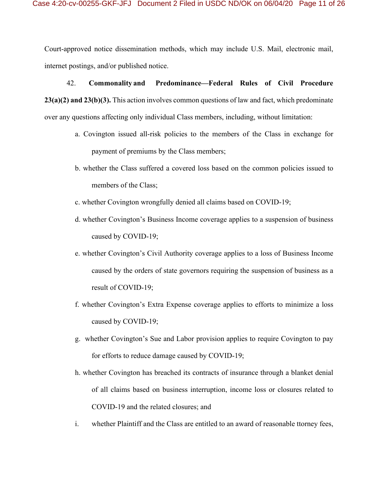Court-approved notice dissemination methods, which may include U.S. Mail, electronic mail, internet postings, and/or published notice.

## 42. **Commonality and Predominance—Federal Rules of Civil Procedure**

**23(a)(2) and 23(b)(3).** This action involves common questions of law and fact, which predominate over any questions affecting only individual Class members, including, without limitation:

- a. Covington issued all-risk policies to the members of the Class in exchange for payment of premiums by the Class members;
- b. whether the Class suffered a covered loss based on the common policies issued to members of the Class;
- c. whether Covington wrongfully denied all claims based on COVID-19;
- d. whether Covington's Business Income coverage applies to a suspension of business caused by COVID-19;
- e. whether Covington's Civil Authority coverage applies to a loss of Business Income caused by the orders of state governors requiring the suspension of business as a result of COVID-19;
- f. whether Covington's Extra Expense coverage applies to efforts to minimize a loss caused by COVID-19;
- g. whether Covington's Sue and Labor provision applies to require Covington to pay for efforts to reduce damage caused by COVID-19;
- h. whether Covington has breached its contracts of insurance through a blanket denial of all claims based on business interruption, income loss or closures related to COVID-19 and the related closures; and
- i. whether Plaintiff and the Class are entitled to an award of reasonable ttorney fees,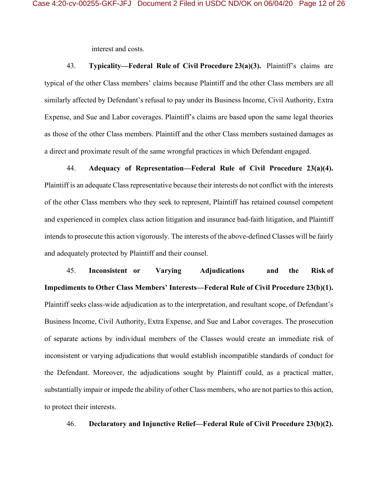interest and costs.

43. **Typicality—Federal Rule of Civil Procedure 23(a)(3).** Plaintiff's claims are typical of the other Class members' claims because Plaintiff and the other Class members are all similarly affected by Defendant's refusal to pay under its Business Income, Civil Authority, Extra Expense, and Sue and Labor coverages. Plaintiff's claims are based upon the same legal theories as those of the other Class members. Plaintiff and the other Class members sustained damages as a direct and proximate result of the same wrongful practices in which Defendant engaged.

44. **Adequacy of Representation—Federal Rule of Civil Procedure 23(a)(4).** Plaintiff is an adequate Class representative because their interests do not conflict with the interests of the other Class members who they seek to represent, Plaintiff has retained counsel competent and experienced in complex class action litigation and insurance bad-faith litigation, and Plaintiff intends to prosecute this action vigorously. The interests of the above-defined Classes will be fairly and adequately protected by Plaintiff and their counsel.

45. **Inconsistent or Varying Adjudications and the Risk of Impediments to Other Class Members' Interests—Federal Rule of Civil Procedure 23(b)(1).**  Plaintiff seeks class-wide adjudication as to the interpretation, and resultant scope, of Defendant's Business Income, Civil Authority, Extra Expense, and Sue and Labor coverages. The prosecution of separate actions by individual members of the Classes would create an immediate risk of inconsistent or varying adjudications that would establish incompatible standards of conduct for the Defendant. Moreover, the adjudications sought by Plaintiff could, as a practical matter, substantially impair or impede the ability of other Class members, who are not parties to this action, to protect their interests.

46. **Declaratory and Injunctive Relief—Federal Rule of Civil Procedure 23(b)(2).**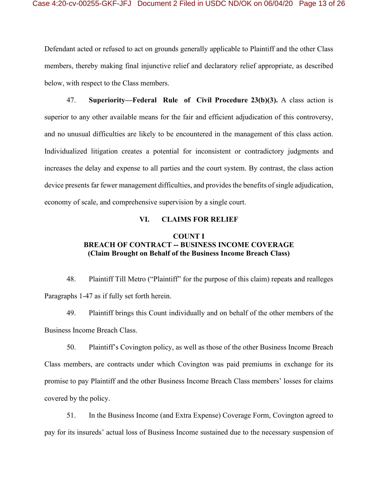Defendant acted or refused to act on grounds generally applicable to Plaintiff and the other Class members, thereby making final injunctive relief and declaratory relief appropriate, as described below, with respect to the Class members.

47. **Superiority—Federal Rule of Civil Procedure 23(b)(3).** A class action is superior to any other available means for the fair and efficient adjudication of this controversy, and no unusual difficulties are likely to be encountered in the management of this class action. Individualized litigation creates a potential for inconsistent or contradictory judgments and increases the delay and expense to all parties and the court system. By contrast, the class action device presents far fewer management difficulties, and provides the benefits of single adjudication, economy of scale, and comprehensive supervision by a single court.

### **VI. CLAIMS FOR RELIEF**

# **COUNT I BREACH OF CONTRACT -- BUSINESS INCOME COVERAGE (Claim Brought on Behalf of the Business Income Breach Class)**

48. Plaintiff Till Metro ("Plaintiff" for the purpose of this claim) repeats and realleges Paragraphs 1-47 as if fully set forth herein.

49. Plaintiff brings this Count individually and on behalf of the other members of the Business Income Breach Class.

50. Plaintiff's Covington policy, as well as those of the other Business Income Breach Class members, are contracts under which Covington was paid premiums in exchange for its promise to pay Plaintiff and the other Business Income Breach Class members' losses for claims covered by the policy.

51. In the Business Income (and Extra Expense) Coverage Form, Covington agreed to pay for its insureds' actual loss of Business Income sustained due to the necessary suspension of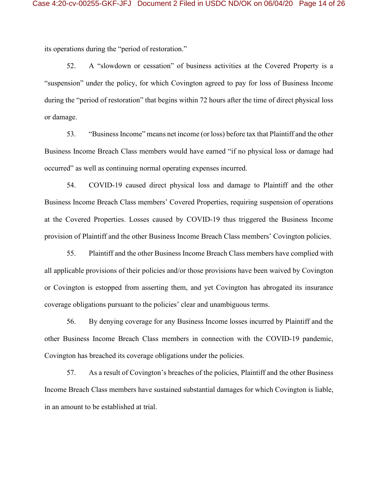its operations during the "period of restoration."

52. A "slowdown or cessation" of business activities at the Covered Property is a "suspension" under the policy, for which Covington agreed to pay for loss of Business Income during the "period of restoration" that begins within 72 hours after the time of direct physical loss or damage.

53. "Business Income" means net income (or loss) before tax that Plaintiff and the other Business Income Breach Class members would have earned "if no physical loss or damage had occurred" as well as continuing normal operating expenses incurred.

54. COVID-19 caused direct physical loss and damage to Plaintiff and the other Business Income Breach Class members' Covered Properties, requiring suspension of operations at the Covered Properties. Losses caused by COVID-19 thus triggered the Business Income provision of Plaintiff and the other Business Income Breach Class members' Covington policies.

55. Plaintiff and the other Business Income Breach Class members have complied with all applicable provisions of their policies and/or those provisions have been waived by Covington or Covington is estopped from asserting them, and yet Covington has abrogated its insurance coverage obligations pursuant to the policies' clear and unambiguous terms.

56. By denying coverage for any Business Income losses incurred by Plaintiff and the other Business Income Breach Class members in connection with the COVID-19 pandemic, Covington has breached its coverage obligations under the policies.

57. As a result of Covington's breaches of the policies, Plaintiff and the other Business Income Breach Class members have sustained substantial damages for which Covington is liable, in an amount to be established at trial.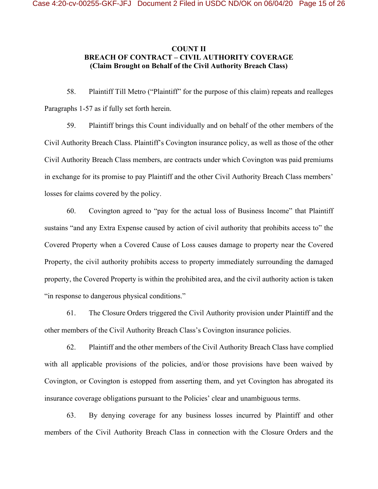# **COUNT II BREACH OF CONTRACT – CIVIL AUTHORITY COVERAGE (Claim Brought on Behalf of the Civil Authority Breach Class)**

58. Plaintiff Till Metro ("Plaintiff" for the purpose of this claim) repeats and realleges Paragraphs 1-57 as if fully set forth herein.

59. Plaintiff brings this Count individually and on behalf of the other members of the Civil Authority Breach Class. Plaintiff's Covington insurance policy, as well as those of the other Civil Authority Breach Class members, are contracts under which Covington was paid premiums in exchange for its promise to pay Plaintiff and the other Civil Authority Breach Class members' losses for claims covered by the policy.

60. Covington agreed to "pay for the actual loss of Business Income" that Plaintiff sustains "and any Extra Expense caused by action of civil authority that prohibits access to" the Covered Property when a Covered Cause of Loss causes damage to property near the Covered Property, the civil authority prohibits access to property immediately surrounding the damaged property, the Covered Property is within the prohibited area, and the civil authority action is taken "in response to dangerous physical conditions."

61. The Closure Orders triggered the Civil Authority provision under Plaintiff and the other members of the Civil Authority Breach Class's Covington insurance policies.

62. Plaintiff and the other members of the Civil Authority Breach Class have complied with all applicable provisions of the policies, and/or those provisions have been waived by Covington, or Covington is estopped from asserting them, and yet Covington has abrogated its insurance coverage obligations pursuant to the Policies' clear and unambiguous terms.

63. By denying coverage for any business losses incurred by Plaintiff and other members of the Civil Authority Breach Class in connection with the Closure Orders and the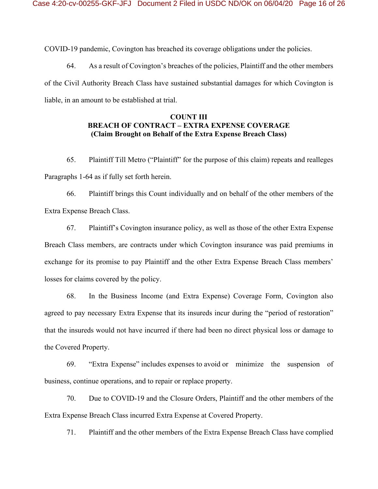COVID-19 pandemic, Covington has breached its coverage obligations under the policies.

64. As a result of Covington's breaches of the policies, Plaintiff and the other members of the Civil Authority Breach Class have sustained substantial damages for which Covington is liable, in an amount to be established at trial.

# **COUNT III BREACH OF CONTRACT – EXTRA EXPENSE COVERAGE (Claim Brought on Behalf of the Extra Expense Breach Class)**

65. Plaintiff Till Metro ("Plaintiff" for the purpose of this claim) repeats and realleges Paragraphs 1-64 as if fully set forth herein.

66. Plaintiff brings this Count individually and on behalf of the other members of the Extra Expense Breach Class.

67. Plaintiff's Covington insurance policy, as well as those of the other Extra Expense Breach Class members, are contracts under which Covington insurance was paid premiums in exchange for its promise to pay Plaintiff and the other Extra Expense Breach Class members' losses for claims covered by the policy.

68. In the Business Income (and Extra Expense) Coverage Form, Covington also agreed to pay necessary Extra Expense that its insureds incur during the "period of restoration" that the insureds would not have incurred if there had been no direct physical loss or damage to the Covered Property.

69. "Extra Expense" includes expenses to avoid or minimize the suspension of business, continue operations, and to repair or replace property.

70. Due to COVID-19 and the Closure Orders, Plaintiff and the other members of the Extra Expense Breach Class incurred Extra Expense at Covered Property.

71. Plaintiff and the other members of the Extra Expense Breach Class have complied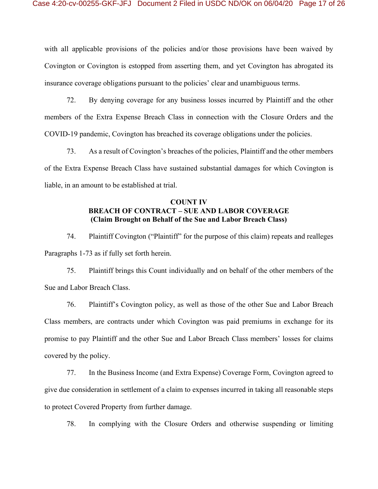with all applicable provisions of the policies and/or those provisions have been waived by Covington or Covington is estopped from asserting them, and yet Covington has abrogated its insurance coverage obligations pursuant to the policies' clear and unambiguous terms.

72. By denying coverage for any business losses incurred by Plaintiff and the other members of the Extra Expense Breach Class in connection with the Closure Orders and the COVID-19 pandemic, Covington has breached its coverage obligations under the policies.

73. As a result of Covington's breaches of the policies, Plaintiff and the other members of the Extra Expense Breach Class have sustained substantial damages for which Covington is liable, in an amount to be established at trial.

# **COUNT IV BREACH OF CONTRACT – SUE AND LABOR COVERAGE (Claim Brought on Behalf of the Sue and Labor Breach Class)**

74. Plaintiff Covington ("Plaintiff" for the purpose of this claim) repeats and realleges Paragraphs 1-73 as if fully set forth herein.

75. Plaintiff brings this Count individually and on behalf of the other members of the Sue and Labor Breach Class.

76. Plaintiff's Covington policy, as well as those of the other Sue and Labor Breach Class members, are contracts under which Covington was paid premiums in exchange for its promise to pay Plaintiff and the other Sue and Labor Breach Class members' losses for claims covered by the policy.

77. In the Business Income (and Extra Expense) Coverage Form, Covington agreed to give due consideration in settlement of a claim to expenses incurred in taking all reasonable steps to protect Covered Property from further damage.

78. In complying with the Closure Orders and otherwise suspending or limiting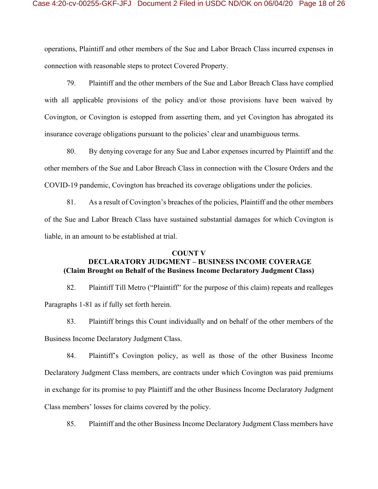operations, Plaintiff and other members of the Sue and Labor Breach Class incurred expenses in connection with reasonable steps to protect Covered Property.

79. Plaintiff and the other members of the Sue and Labor Breach Class have complied with all applicable provisions of the policy and/or those provisions have been waived by Covington, or Covington is estopped from asserting them, and yet Covington has abrogated its insurance coverage obligations pursuant to the policies' clear and unambiguous terms.

80. By denying coverage for any Sue and Labor expenses incurred by Plaintiff and the other members of the Sue and Labor Breach Class in connection with the Closure Orders and the COVID-19 pandemic, Covington has breached its coverage obligations under the policies.

81. As a result of Covington's breaches of the policies, Plaintiff and the other members of the Sue and Labor Breach Class have sustained substantial damages for which Covington is liable, in an amount to be established at trial.

#### **COUNT V**

# **DECLARATORY JUDGMENT – BUSINESS INCOME COVERAGE (Claim Brought on Behalf of the Business Income Declaratory Judgment Class)**

82. Plaintiff Till Metro ("Plaintiff" for the purpose of this claim) repeats and realleges Paragraphs 1-81 as if fully set forth herein.

83. Plaintiff brings this Count individually and on behalf of the other members of the Business Income Declaratory Judgment Class.

84. Plaintiff's Covington policy, as well as those of the other Business Income Declaratory Judgment Class members, are contracts under which Covington was paid premiums in exchange for its promise to pay Plaintiff and the other Business Income Declaratory Judgment Class members' losses for claims covered by the policy.

85. Plaintiff and the other Business Income Declaratory Judgment Class members have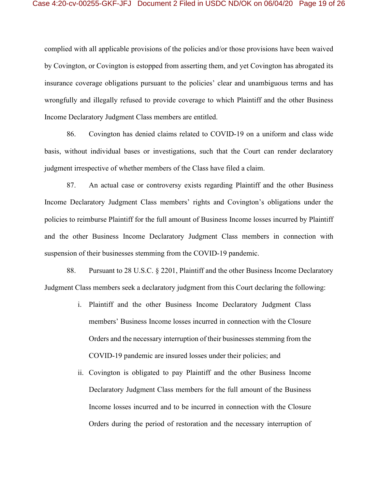complied with all applicable provisions of the policies and/or those provisions have been waived by Covington, or Covington is estopped from asserting them, and yet Covington has abrogated its insurance coverage obligations pursuant to the policies' clear and unambiguous terms and has wrongfully and illegally refused to provide coverage to which Plaintiff and the other Business Income Declaratory Judgment Class members are entitled.

86. Covington has denied claims related to COVID-19 on a uniform and class wide basis, without individual bases or investigations, such that the Court can render declaratory judgment irrespective of whether members of the Class have filed a claim.

87. An actual case or controversy exists regarding Plaintiff and the other Business Income Declaratory Judgment Class members' rights and Covington's obligations under the policies to reimburse Plaintiff for the full amount of Business Income losses incurred by Plaintiff and the other Business Income Declaratory Judgment Class members in connection with suspension of their businesses stemming from the COVID-19 pandemic.

88. Pursuant to 28 U.S.C. § 2201, Plaintiff and the other Business Income Declaratory Judgment Class members seek a declaratory judgment from this Court declaring the following:

- i. Plaintiff and the other Business Income Declaratory Judgment Class members' Business Income losses incurred in connection with the Closure Orders and the necessary interruption of their businesses stemming from the COVID-19 pandemic are insured losses under their policies; and
- ii. Covington is obligated to pay Plaintiff and the other Business Income Declaratory Judgment Class members for the full amount of the Business Income losses incurred and to be incurred in connection with the Closure Orders during the period of restoration and the necessary interruption of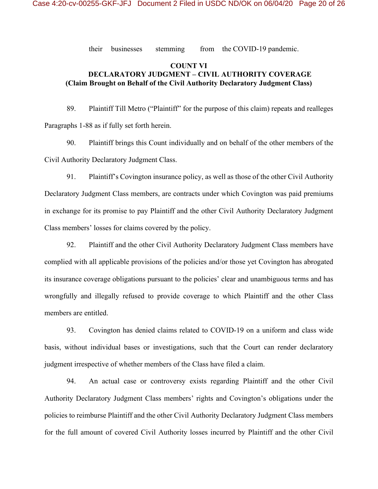their businesses stemming from the COVID-19 pandemic.

# **COUNT VI DECLARATORY JUDGMENT – CIVIL AUTHORITY COVERAGE (Claim Brought on Behalf of the Civil Authority Declaratory Judgment Class)**

89. Plaintiff Till Metro ("Plaintiff" for the purpose of this claim) repeats and realleges Paragraphs 1-88 as if fully set forth herein.

90. Plaintiff brings this Count individually and on behalf of the other members of the Civil Authority Declaratory Judgment Class.

91. Plaintiff's Covington insurance policy, as well as those of the other Civil Authority Declaratory Judgment Class members, are contracts under which Covington was paid premiums in exchange for its promise to pay Plaintiff and the other Civil Authority Declaratory Judgment Class members' losses for claims covered by the policy.

92. Plaintiff and the other Civil Authority Declaratory Judgment Class members have complied with all applicable provisions of the policies and/or those yet Covington has abrogated its insurance coverage obligations pursuant to the policies' clear and unambiguous terms and has wrongfully and illegally refused to provide coverage to which Plaintiff and the other Class members are entitled.

93. Covington has denied claims related to COVID-19 on a uniform and class wide basis, without individual bases or investigations, such that the Court can render declaratory judgment irrespective of whether members of the Class have filed a claim.

94. An actual case or controversy exists regarding Plaintiff and the other Civil Authority Declaratory Judgment Class members' rights and Covington's obligations under the policies to reimburse Plaintiff and the other Civil Authority Declaratory Judgment Class members for the full amount of covered Civil Authority losses incurred by Plaintiff and the other Civil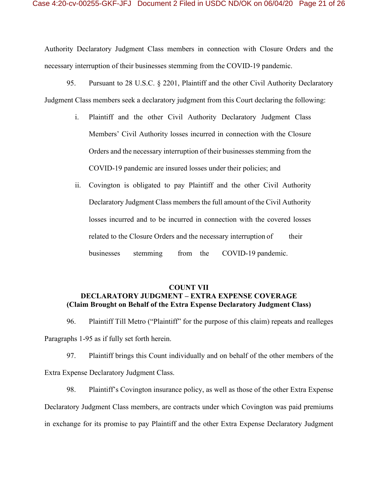Authority Declaratory Judgment Class members in connection with Closure Orders and the necessary interruption of their businesses stemming from the COVID-19 pandemic.

95. Pursuant to 28 U.S.C. § 2201, Plaintiff and the other Civil Authority Declaratory Judgment Class members seek a declaratory judgment from this Court declaring the following:

- i. Plaintiff and the other Civil Authority Declaratory Judgment Class Members' Civil Authority losses incurred in connection with the Closure Orders and the necessary interruption of their businesses stemming from the COVID-19 pandemic are insured losses under their policies; and
- ii. Covington is obligated to pay Plaintiff and the other Civil Authority Declaratory Judgment Class members the full amount of the Civil Authority losses incurred and to be incurred in connection with the covered losses related to the Closure Orders and the necessary interruption of their businesses stemming from the COVID-19 pandemic.

# **COUNT VII DECLARATORY JUDGMENT – EXTRA EXPENSE COVERAGE (Claim Brought on Behalf of the Extra Expense Declaratory Judgment Class)**

96. Plaintiff Till Metro ("Plaintiff" for the purpose of this claim) repeats and realleges Paragraphs 1-95 as if fully set forth herein.

97. Plaintiff brings this Count individually and on behalf of the other members of the Extra Expense Declaratory Judgment Class.

98. Plaintiff's Covington insurance policy, as well as those of the other Extra Expense Declaratory Judgment Class members, are contracts under which Covington was paid premiums in exchange for its promise to pay Plaintiff and the other Extra Expense Declaratory Judgment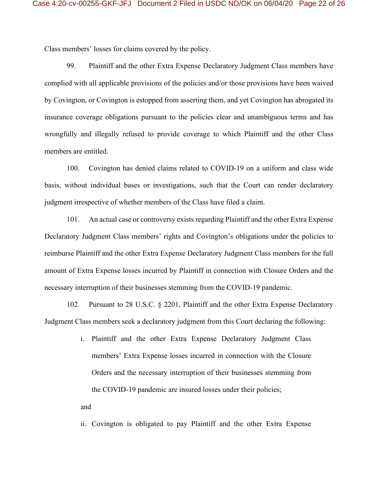Class members' losses for claims covered by the policy.

99. Plaintiff and the other Extra Expense Declaratory Judgment Class members have complied with all applicable provisions of the policies and/or those provisions have been waived by Covington, or Covington is estopped from asserting them, and yet Covington has abrogated its insurance coverage obligations pursuant to the policies clear and unambiguous terms and has wrongfully and illegally refused to provide coverage to which Plaintiff and the other Class members are entitled.

100. Covington has denied claims related to COVID-19 on a uniform and class wide basis, without individual bases or investigations, such that the Court can render declaratory judgment irrespective of whether members of the Class have filed a claim.

101. An actual case or controversy exists regarding Plaintiff and the other Extra Expense Declaratory Judgment Class members' rights and Covington's obligations under the policies to reimburse Plaintiff and the other Extra Expense Declaratory Judgment Class members for the full amount of Extra Expense losses incurred by Plaintiff in connection with Closure Orders and the necessary interruption of their businesses stemming from the COVID-19 pandemic.

102. Pursuant to 28 U.S.C. § 2201, Plaintiff and the other Extra Expense Declaratory Judgment Class members seek a declaratory judgment from this Court declaring the following:

> i. Plaintiff and the other Extra Expense Declaratory Judgment Class members' Extra Expense losses incurred in connection with the Closure Orders and the necessary interruption of their businesses stemming from the COVID-19 pandemic are insured losses under their policies;

and

ii. Covington is obligated to pay Plaintiff and the other Extra Expense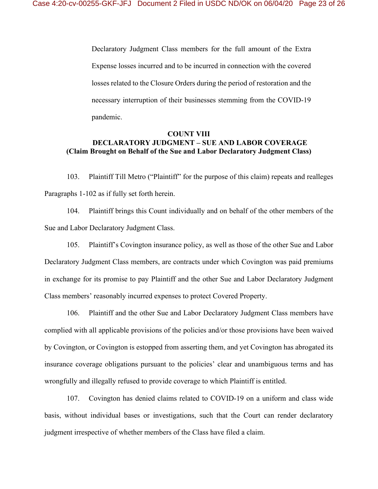Declaratory Judgment Class members for the full amount of the Extra Expense losses incurred and to be incurred in connection with the covered losses related to the Closure Orders during the period of restoration and the necessary interruption of their businesses stemming from the COVID-19 pandemic.

# **COUNT VIII DECLARATORY JUDGMENT – SUE AND LABOR COVERAGE (Claim Brought on Behalf of the Sue and Labor Declaratory Judgment Class)**

103. Plaintiff Till Metro ("Plaintiff" for the purpose of this claim) repeats and realleges Paragraphs 1-102 as if fully set forth herein.

104. Plaintiff brings this Count individually and on behalf of the other members of the Sue and Labor Declaratory Judgment Class.

105. Plaintiff's Covington insurance policy, as well as those of the other Sue and Labor Declaratory Judgment Class members, are contracts under which Covington was paid premiums in exchange for its promise to pay Plaintiff and the other Sue and Labor Declaratory Judgment Class members' reasonably incurred expenses to protect Covered Property.

106. Plaintiff and the other Sue and Labor Declaratory Judgment Class members have complied with all applicable provisions of the policies and/or those provisions have been waived by Covington, or Covington is estopped from asserting them, and yet Covington has abrogated its insurance coverage obligations pursuant to the policies' clear and unambiguous terms and has wrongfully and illegally refused to provide coverage to which Plaintiff is entitled.

107. Covington has denied claims related to COVID-19 on a uniform and class wide basis, without individual bases or investigations, such that the Court can render declaratory judgment irrespective of whether members of the Class have filed a claim.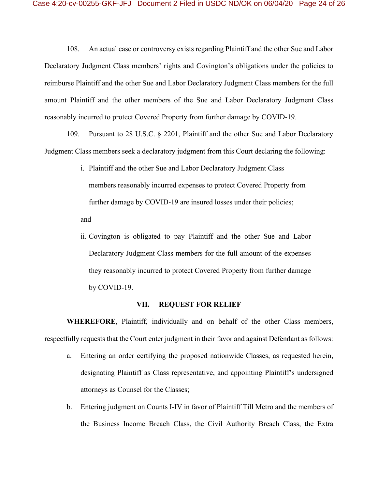108. An actual case or controversy exists regarding Plaintiff and the other Sue and Labor Declaratory Judgment Class members' rights and Covington's obligations under the policies to reimburse Plaintiff and the other Sue and Labor Declaratory Judgment Class members for the full amount Plaintiff and the other members of the Sue and Labor Declaratory Judgment Class reasonably incurred to protect Covered Property from further damage by COVID-19.

109. Pursuant to 28 U.S.C. § 2201, Plaintiff and the other Sue and Labor Declaratory Judgment Class members seek a declaratory judgment from this Court declaring the following:

> i. Plaintiff and the other Sue and Labor Declaratory Judgment Class members reasonably incurred expenses to protect Covered Property from further damage by COVID-19 are insured losses under their policies;

and

ii. Covington is obligated to pay Plaintiff and the other Sue and Labor Declaratory Judgment Class members for the full amount of the expenses they reasonably incurred to protect Covered Property from further damage by COVID-19.

#### **VII. REQUEST FOR RELIEF**

**WHEREFORE**, Plaintiff, individually and on behalf of the other Class members, respectfully requests that the Court enter judgment in their favor and against Defendant as follows:

- a. Entering an order certifying the proposed nationwide Classes, as requested herein, designating Plaintiff as Class representative, and appointing Plaintiff's undersigned attorneys as Counsel for the Classes;
- b. Entering judgment on Counts I-IV in favor of Plaintiff Till Metro and the members of the Business Income Breach Class, the Civil Authority Breach Class, the Extra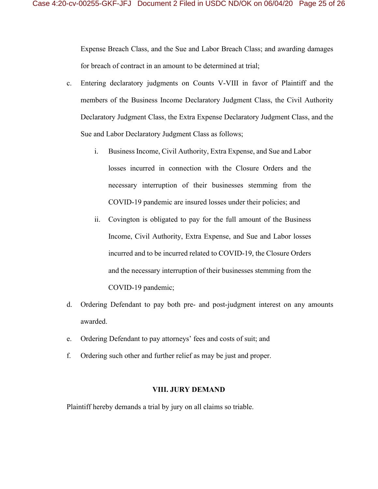Expense Breach Class, and the Sue and Labor Breach Class; and awarding damages for breach of contract in an amount to be determined at trial;

- c. Entering declaratory judgments on Counts V-VIII in favor of Plaintiff and the members of the Business Income Declaratory Judgment Class, the Civil Authority Declaratory Judgment Class, the Extra Expense Declaratory Judgment Class, and the Sue and Labor Declaratory Judgment Class as follows;
	- i. Business Income, Civil Authority, Extra Expense, and Sue and Labor losses incurred in connection with the Closure Orders and the necessary interruption of their businesses stemming from the COVID-19 pandemic are insured losses under their policies; and
	- ii. Covington is obligated to pay for the full amount of the Business Income, Civil Authority, Extra Expense, and Sue and Labor losses incurred and to be incurred related to COVID-19, the Closure Orders and the necessary interruption of their businesses stemming from the COVID-19 pandemic;
- d. Ordering Defendant to pay both pre- and post-judgment interest on any amounts awarded.
- e. Ordering Defendant to pay attorneys' fees and costs of suit; and
- f. Ordering such other and further relief as may be just and proper.

#### **VIII. JURY DEMAND**

Plaintiff hereby demands a trial by jury on all claims so triable.